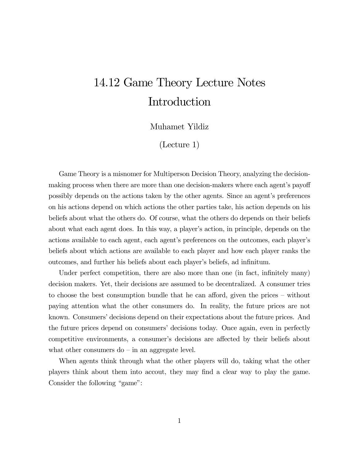## 14.12 Game Theory Lecture Notes Introduction

## Muhamet Yildiz

(Lecture 1)

Game Theory is a misnomer for Multiperson Decision Theory, analyzing the decisionmaking process when there are more than one decision-makers where each agent's payoff possibly depends on the actions taken by the other agents. Since an agent's preferences on his actions depend on which actions the other parties take, his action depends on his beliefs about what the others do. Of course, what the others do depends on their beliefs about what each agent does. In this way, a player's action, in principle, depends on the actions available to each agent, each agent's preferences on the outcomes, each player's beliefs about which actions are available to each player and how each player ranks the outcomes, and further his beliefs about each player's beliefs, ad infinitum.

Under perfect competition, there are also more than one (in fact, infinitely many) decision makers. Yet, their decisions are assumed to be decentralized. A consumer tries to choose the best consumption bundle that he can afford, given the prices — without paying attention what the other consumers do. In reality, the future prices are not known. Consumers' decisions depend on their expectations about the future prices. And the future prices depend on consumers' decisions today. Once again, even in perfectly competitive environments, a consumer's decisions are affected by their beliefs about what other consumers  $do - in an aggregate level.$ 

When agents think through what the other players will do, taking what the other players think about them into accout, they may find a clear way to play the game. Consider the following "game":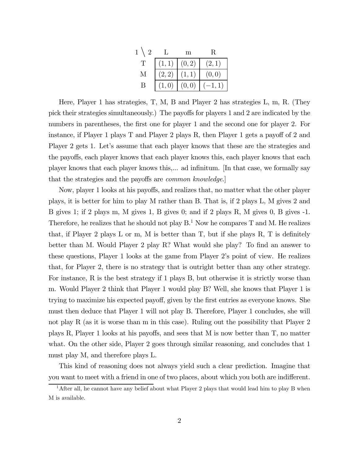| $\overline{2}$ | L      | m      | R     |
|----------------|--------|--------|-------|
| T              | (1, 1) | (0, 2) | (2,1) |
| М              | (2, 2) |        | (0,0) |
| B              |        | (0, 0) |       |

Here, Player 1 has strategies, T, M, B and Player 2 has strategies L, m, R. (They pick their strategies simultaneously.) The payoffs for players 1 and 2 are indicated by the numbers in parentheses, the first one for player 1 and the second one for player 2. For instance, if Player 1 plays T and Player 2 plays R, then Player 1 gets a payoff of 2 and Player 2 gets 1. Let's assume that each player knows that these are the strategies and the payoffs, each player knows that each player knows this, each player knows that each player knows that each player knows this,... ad infinitum. [In that case, we formally say that the strategies and the payoffs are common knowledge.]

Now, player 1 looks at his payoffs, and realizes that, no matter what the other player plays, it is better for him to play M rather than B. That is, if 2 plays L, M gives 2 and B gives 1; if 2 plays m, M gives 1, B gives 0; and if 2 plays R, M gives 0, B gives -1. Therefore, he realizes that he should not play  $B<sup>1</sup>$ . Now he compares T and M. He realizes that, if Player 2 plays L or m, M is better than T, but if she plays R, T is definitely better than M. Would Player 2 play R? What would she play? To find an answer to these questions, Player 1 looks at the game from Player 2's point of view. He realizes that, for Player 2, there is no strategy that is outright better than any other strategy. For instance, R is the best strategy if 1 plays B, but otherwise it is strictly worse than m. Would Player 2 think that Player 1 would play B? Well, she knows that Player 1 is trying to maximize his expected payoff, given by the first entries as everyone knows. She must then deduce that Player 1 will not play B. Therefore, Player 1 concludes, she will not play R (as it is worse than m in this case). Ruling out the possibility that Player 2 plays R, Player 1 looks at his payoffs, and sees that M is now better than T, no matter what. On the other side, Player 2 goes through similar reasoning, and concludes that 1 must play M, and therefore plays L.

This kind of reasoning does not always yield such a clear prediction. Imagine that you want to meet with a friend in one of two places, about which you both are indifferent.

<sup>&</sup>lt;sup>1</sup>After all, he cannot have any belief about what Player 2 plays that would lead him to play B when M is available.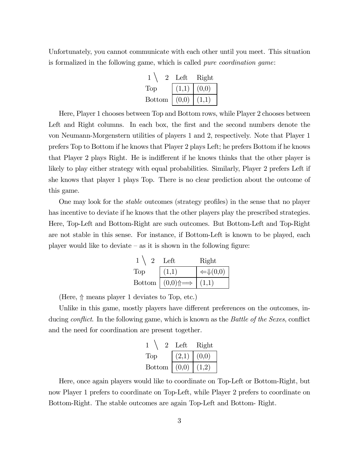Unfortunately, you cannot communicate with each other until you meet. This situation is formalized in the following game, which is called pure coordination game:

|                  | Left  | Right |
|------------------|-------|-------|
| Top <sup>'</sup> |       | (0,0) |
| <b>Bottom</b>    | (0,0) |       |

Here, Player 1 chooses between Top and Bottom rows, while Player 2 chooses between Left and Right columns. In each box, the first and the second numbers denote the von Neumann-Morgenstern utilities of players 1 and 2, respectively. Note that Player 1 prefers Top to Bottom if he knows that Player 2 plays Left; he prefers Bottom if he knows that Player 2 plays Right. He is indifferent if he knows thinks that the other player is likely to play either strategy with equal probabilities. Similarly, Player 2 prefers Left if she knows that player 1 plays Top. There is no clear prediction about the outcome of this game.

One may look for the stable outcomes (strategy profiles) in the sense that no player has incentive to deviate if he knows that the other players play the prescribed strategies. Here, Top-Left and Bottom-Right are such outcomes. But Bottom-Left and Top-Right are not stable in this sense. For instance, if Bottom-Left is known to be played, each player would like to deviate  $-$  as it is shown in the following figure:

|               | Left                        | Right                         |
|---------------|-----------------------------|-------------------------------|
| Top           | (1,1)                       | $\leftarrow \downarrow (0,0)$ |
| <b>Bottom</b> | $ (0,0)\hat{=} \Rightarrow$ |                               |

(Here,  $\Uparrow$  means player 1 deviates to Top, etc.)

Unlike in this game, mostly players have different preferences on the outcomes, inducing *conflict*. In the following game, which is known as the *Battle of the Sexes*, conflict and the need for coordination are present together.

|               | Left  | Right |
|---------------|-------|-------|
| Top           | (2,1) | (0,0) |
| <b>Bottom</b> | (0,0) |       |

Here, once again players would like to coordinate on Top-Left or Bottom-Right, but now Player 1 prefers to coordinate on Top-Left, while Player 2 prefers to coordinate on Bottom-Right. The stable outcomes are again Top-Left and Bottom- Right.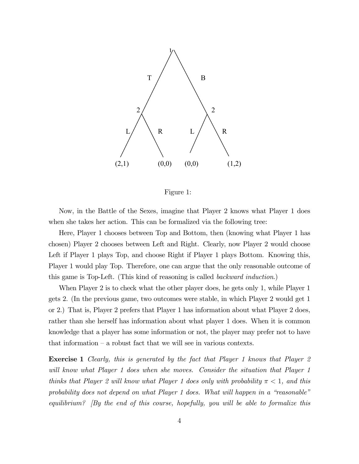

Figure 1:

Now, in the Battle of the Sexes, imagine that Player 2 knows what Player 1 does when she takes her action. This can be formalized via the following tree:

Here, Player 1 chooses between Top and Bottom, then (knowing what Player 1 has chosen) Player 2 chooses between Left and Right. Clearly, now Player 2 would choose Left if Player 1 plays Top, and choose Right if Player 1 plays Bottom. Knowing this, Player 1 would play Top. Therefore, one can argue that the only reasonable outcome of this game is Top-Left. (This kind of reasoning is called backward induction.)

When Player 2 is to check what the other player does, he gets only 1, while Player 1 gets 2. (In the previous game, two outcomes were stable, in which Player 2 would get 1 or 2.) That is, Player 2 prefers that Player 1 has information about what Player 2 does, rather than she herself has information about what player 1 does. When it is common knowledge that a player has some information or not, the player may prefer not to have that information — a robust fact that we will see in various contexts.

Exercise 1 Clearly, this is generated by the fact that Player 1 knows that Player 2 will know what Player 1 does when she moves. Consider the situation that Player 1 thinks that Player 2 will know what Player 1 does only with probability  $\pi < 1$ , and this probability does not depend on what Player 1 does. What will happen in a "reasonable" equilibrium?  $\beta$  is the end of this course, hopefully, you will be able to formalize this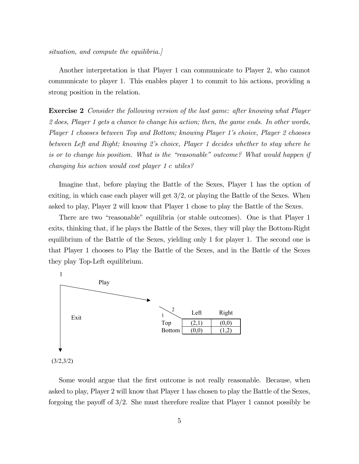situation, and compute the equilibria.

Another interpretation is that Player 1 can communicate to Player 2, who cannot communicate to player 1. This enables player 1 to commit to his actions, providing a strong position in the relation.

Exercise 2 Consider the following version of the last game: after knowing what Player 2 does, Player 1 gets a chance to change his action; then, the game ends. In other words, Player 1 chooses between Top and Bottom; knowing Player 1's choice, Player 2 chooses between Left and Right; knowing 2's choice, Player 1 decides whether to stay where he is or to change his position. What is the "reasonable" outcome? What would happen if changing his action would cost player 1 c utiles?

Imagine that, before playing the Battle of the Sexes, Player 1 has the option of exiting, in which case each player will get 3/2, or playing the Battle of the Sexes. When asked to play, Player 2 will know that Player 1 chose to play the Battle of the Sexes.

There are two "reasonable" equilibria (or stable outcomes). One is that Player 1 exits, thinking that, if he plays the Battle of the Sexes, they will play the Bottom-Right equilibrium of the Battle of the Sexes, yielding only 1 for player 1. The second one is that Player 1 chooses to Play the Battle of the Sexes, and in the Battle of the Sexes they play Top-Left equilibrium.



Some would argue that the first outcome is not really reasonable. Because, when asked to play, Player 2 will know that Player 1 has chosen to play the Battle of the Sexes, forgoing the payoff of  $3/2$ . She must therefore realize that Player 1 cannot possibly be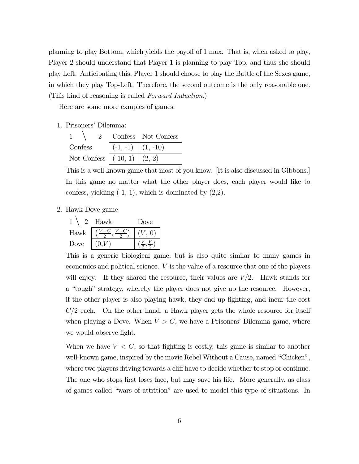planning to play Bottom, which yields the payoff of 1 max. That is, when asked to play, Player 2 should understand that Player 1 is planning to play Top, and thus she should play Left. Anticipating this, Player 1 should choose to play the Battle of the Sexes game, in which they play Top-Left. Therefore, the second outcome is the only reasonable one. (This kind of reasoning is called Forward Induction.)

Here are some more exmples of games:

1. Prisoners' Dilemma:

|                                |                                       | Confess Not Confess |
|--------------------------------|---------------------------------------|---------------------|
| Confess                        | $\vert (-1, -1) \vert (1, -10) \vert$ |                     |
| Not Confess $( -10, 1) (2, 2)$ |                                       |                     |

This is a well known game that most of you know. [It is also discussed in Gibbons.] In this game no matter what the other player does, each player would like to confess, yielding  $(-1,-1)$ , which is dominated by  $(2,2)$ .

2. Hawk-Dove game

|      | Hawk | Jove |
|------|------|------|
| Hawk |      |      |
| Dove |      |      |

This is a generic biological game, but is also quite similar to many games in economics and political science. V is the value of a resource that one of the players will enjoy. If they shared the resource, their values are  $V/2$ . Hawk stands for a "tough" strategy, whereby the player does not give up the resource. However, if the other player is also playing hawk, they end up fighting, and incur the cost  $C/2$  each. On the other hand, a Hawk player gets the whole resource for itself when playing a Dove. When  $V > C$ , we have a Prisoners' Dilemma game, where we would observe fight.

When we have  $V < C$ , so that fighting is costly, this game is similar to another well-known game, inspired by the movie Rebel Without a Cause, named "Chicken", where two players driving towards a cliff have to decide whether to stop or continue. The one who stops first loses face, but may save his life. More generally, as class of games called "wars of attrition" are used to model this type of situations. In